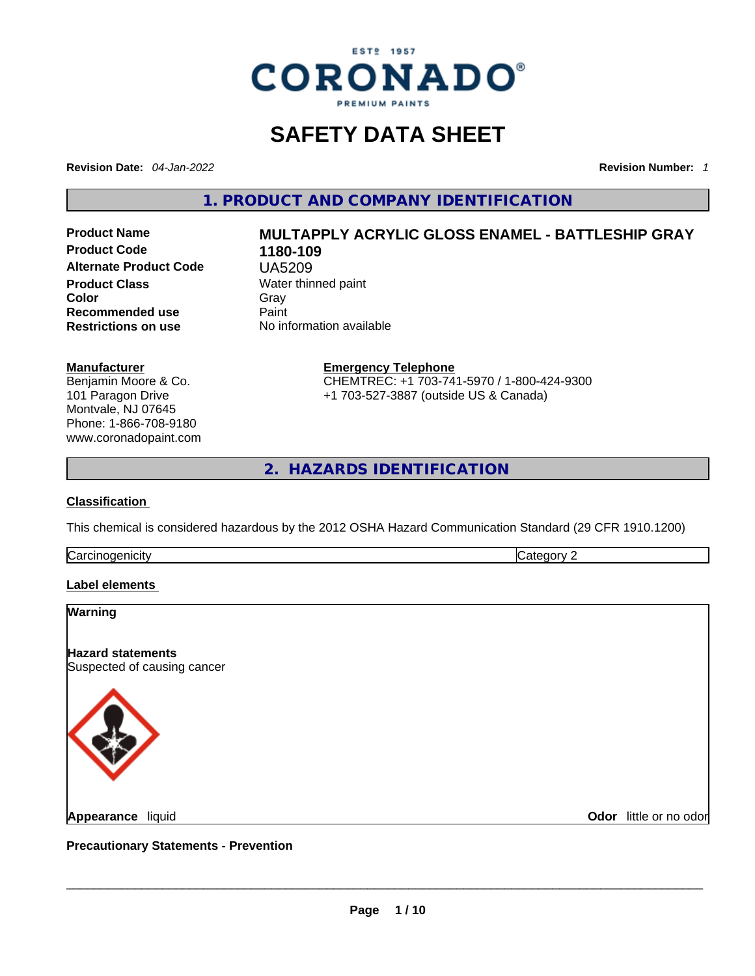

### **SAFETY DATA SHEET**

**Revision Date:** *04-Jan-2022* **Revision Number:** *1*

**1. PRODUCT AND COMPANY IDENTIFICATION** 

**No information available** 

**Product Code 1180-109 Alternate Product Code** UA5209 **Product Class Water thinned paint**<br> **Color** Gray **Recommended use** Paint<br> **Restrictions on use** No inf

## **Product Name MULTAPPLY ACRYLIC GLOSS ENAMEL - BATTLESHIP GRAY Color** Gray Gray

**Manufacturer**

Benjamin Moore & Co. 101 Paragon Drive Montvale, NJ 07645 Phone: 1-866-708-9180 www.coronadopaint.com **Emergency Telephone** CHEMTREC: +1 703-741-5970 / 1-800-424-9300 +1 703-527-3887 (outside US & Canada)

**2. HAZARDS IDENTIFICATION** 

#### **Classification**

This chemical is considered hazardous by the 2012 OSHA Hazard Communication Standard (29 CFR 1910.1200)

**Carcinogenicity** Category 2

#### **Label elements**

# **Warning Hazard statements** Suspected of causing cancer **Appearance** liquid \_\_\_\_\_\_\_\_\_\_\_\_\_\_\_\_\_\_\_\_\_\_\_\_\_\_\_\_\_\_\_\_\_\_\_\_\_\_\_\_\_\_\_\_\_\_\_\_\_\_\_\_\_\_\_\_\_\_\_\_\_\_\_\_\_\_\_\_\_\_\_\_\_\_\_\_\_\_\_\_\_\_\_\_\_\_\_\_\_\_\_\_\_ **Odor** little or no odor

**Precautionary Statements - Prevention**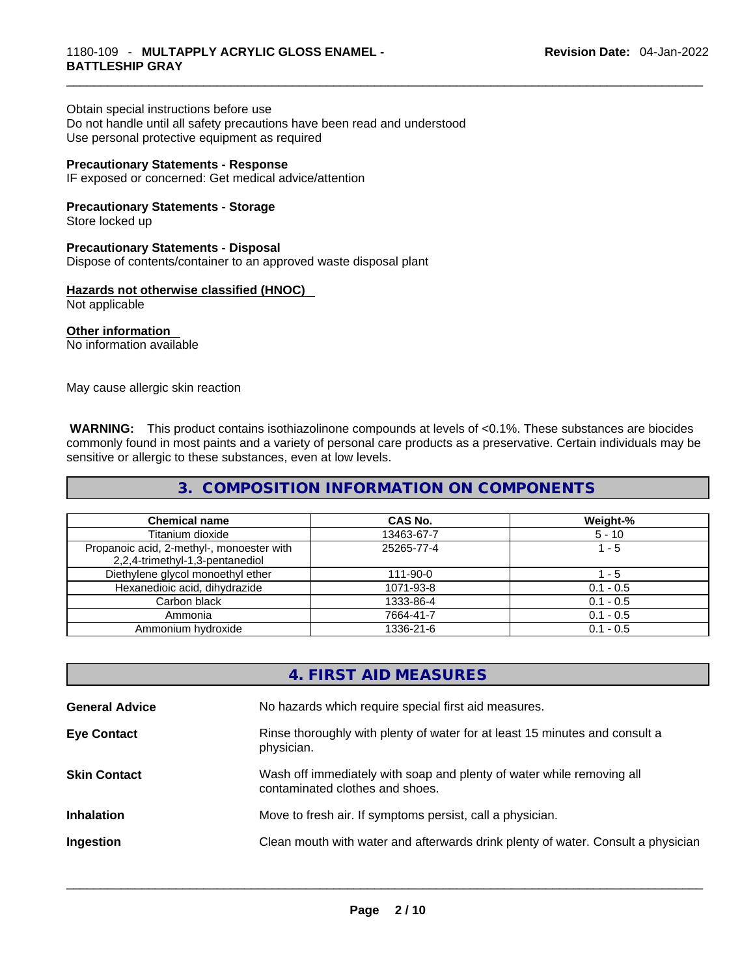Obtain special instructions before use Do not handle until all safety precautions have been read and understood Use personal protective equipment as required

#### **Precautionary Statements - Response**

IF exposed or concerned: Get medical advice/attention

**Precautionary Statements - Storage**

Store locked up

#### **Precautionary Statements - Disposal**

Dispose of contents/container to an approved waste disposal plant

#### **Hazards not otherwise classified (HNOC)**

Not applicable

**Other information**  No information available

May cause allergic skin reaction

 **WARNING:** This product contains isothiazolinone compounds at levels of <0.1%. These substances are biocides commonly found in most paints and a variety of personal care products as a preservative. Certain individuals may be sensitive or allergic to these substances, even at low levels.

#### **3. COMPOSITION INFORMATION ON COMPONENTS**

| <b>Chemical name</b>                                                         | CAS No.    | Weight-%    |
|------------------------------------------------------------------------------|------------|-------------|
| Titanium dioxide                                                             | 13463-67-7 | $5 - 10$    |
| Propanoic acid, 2-methyl-, monoester with<br>2,2,4-trimethyl-1,3-pentanediol | 25265-77-4 | $1 - 5$     |
| Diethylene glycol monoethyl ether                                            | 111-90-0   | - 5         |
| Hexanedioic acid, dihydrazide                                                | 1071-93-8  | $0.1 - 0.5$ |
| Carbon black                                                                 | 1333-86-4  | $0.1 - 0.5$ |
| Ammonia                                                                      | 7664-41-7  | $0.1 - 0.5$ |
| Ammonium hydroxide                                                           | 1336-21-6  | $0.1 - 0.5$ |

#### **4. FIRST AID MEASURES**

| <b>General Advice</b> | No hazards which require special first aid measures.                                                     |
|-----------------------|----------------------------------------------------------------------------------------------------------|
| <b>Eye Contact</b>    | Rinse thoroughly with plenty of water for at least 15 minutes and consult a<br>physician.                |
| <b>Skin Contact</b>   | Wash off immediately with soap and plenty of water while removing all<br>contaminated clothes and shoes. |
| <b>Inhalation</b>     | Move to fresh air. If symptoms persist, call a physician.                                                |
| Ingestion             | Clean mouth with water and afterwards drink plenty of water. Consult a physician                         |
|                       |                                                                                                          |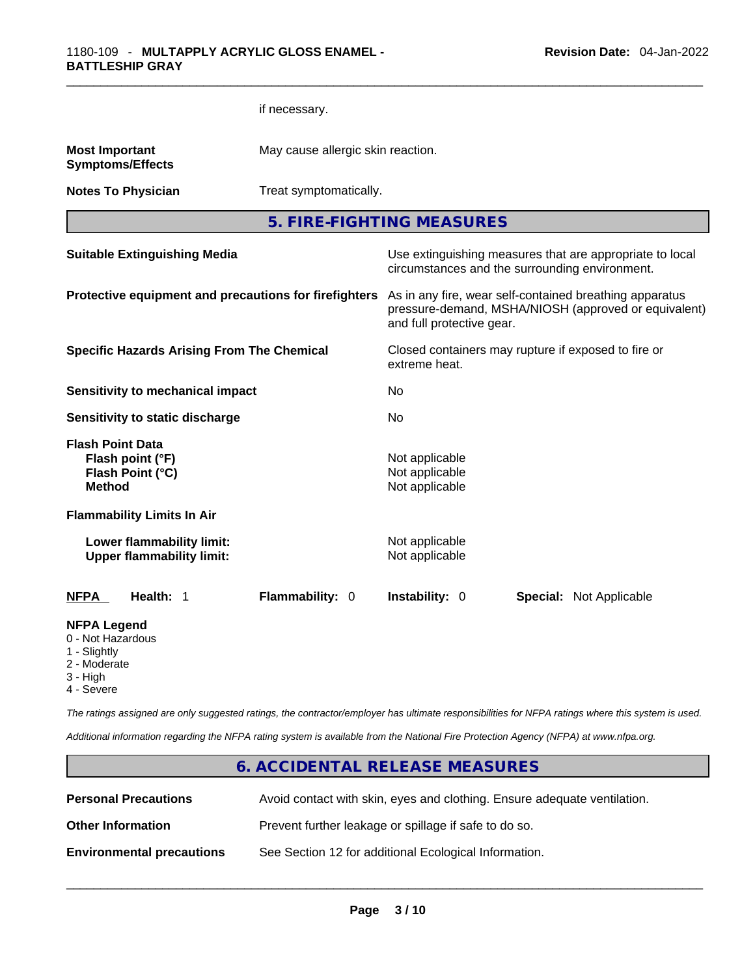|                                                                         |                                                               | if necessary.                     |                                                                                                            |                                                      |
|-------------------------------------------------------------------------|---------------------------------------------------------------|-----------------------------------|------------------------------------------------------------------------------------------------------------|------------------------------------------------------|
| <b>Most Important</b>                                                   | <b>Symptoms/Effects</b>                                       | May cause allergic skin reaction. |                                                                                                            |                                                      |
|                                                                         | <b>Notes To Physician</b>                                     | Treat symptomatically.            |                                                                                                            |                                                      |
|                                                                         |                                                               |                                   | 5. FIRE-FIGHTING MEASURES                                                                                  |                                                      |
|                                                                         | <b>Suitable Extinguishing Media</b>                           |                                   | Use extinguishing measures that are appropriate to local<br>circumstances and the surrounding environment. |                                                      |
|                                                                         | Protective equipment and precautions for firefighters         |                                   | As in any fire, wear self-contained breathing apparatus<br>and full protective gear.                       | pressure-demand, MSHA/NIOSH (approved or equivalent) |
|                                                                         | <b>Specific Hazards Arising From The Chemical</b>             |                                   | Closed containers may rupture if exposed to fire or<br>extreme heat.                                       |                                                      |
|                                                                         | <b>Sensitivity to mechanical impact</b>                       |                                   | No                                                                                                         |                                                      |
|                                                                         | Sensitivity to static discharge                               |                                   | <b>No</b>                                                                                                  |                                                      |
| <b>Flash Point Data</b><br><b>Method</b>                                | Flash point (°F)<br>Flash Point (°C)                          |                                   | Not applicable<br>Not applicable<br>Not applicable                                                         |                                                      |
|                                                                         | <b>Flammability Limits In Air</b>                             |                                   |                                                                                                            |                                                      |
|                                                                         | Lower flammability limit:<br><b>Upper flammability limit:</b> |                                   | Not applicable<br>Not applicable                                                                           |                                                      |
| <b>NFPA</b>                                                             | Health: 1                                                     | Flammability: 0                   | Instability: 0                                                                                             | <b>Special: Not Applicable</b>                       |
| <b>NFPA Legend</b><br>0 - Not Hazardous<br>1 - Slightly<br>2 - Moderate |                                                               |                                   |                                                                                                            |                                                      |

- 3 High
- 4 Severe

*The ratings assigned are only suggested ratings, the contractor/employer has ultimate responsibilities for NFPA ratings where this system is used.* 

*Additional information regarding the NFPA rating system is available from the National Fire Protection Agency (NFPA) at www.nfpa.org.* 

#### **6. ACCIDENTAL RELEASE MEASURES**

| <b>Personal Precautions</b>      | Avoid contact with skin, eyes and clothing. Ensure adequate ventilation. |
|----------------------------------|--------------------------------------------------------------------------|
| <b>Other Information</b>         | Prevent further leakage or spillage if safe to do so.                    |
| <b>Environmental precautions</b> | See Section 12 for additional Ecological Information.                    |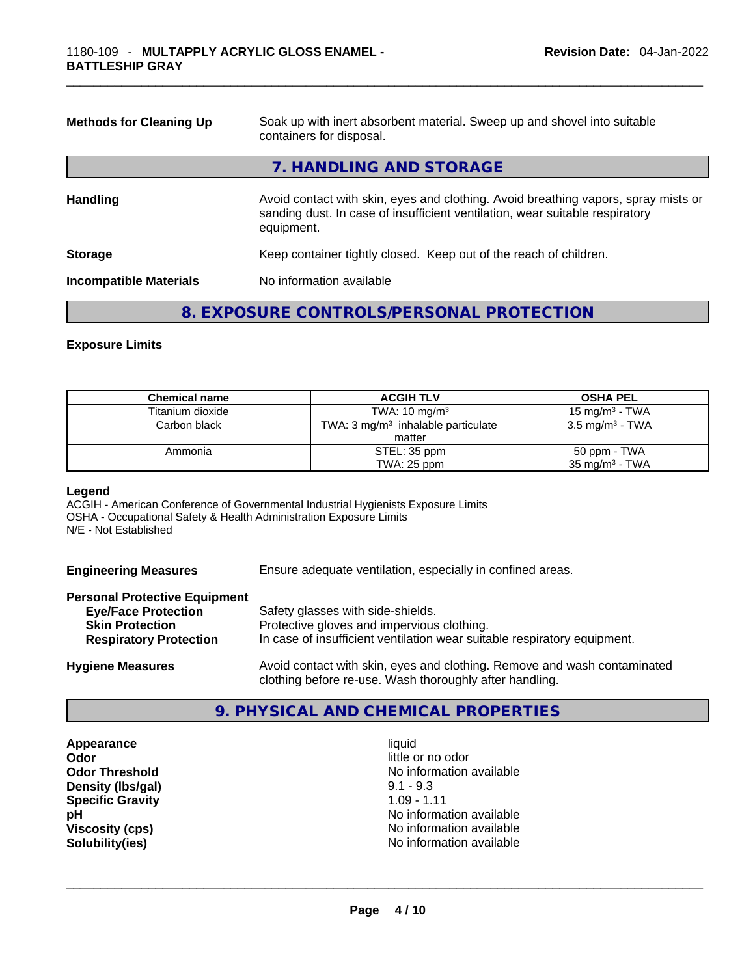| <b>Methods for Cleaning Up</b> | Soak up with inert absorbent material. Sweep up and shovel into suitable<br>containers for disposal.                                                                             |  |  |
|--------------------------------|----------------------------------------------------------------------------------------------------------------------------------------------------------------------------------|--|--|
|                                | 7. HANDLING AND STORAGE                                                                                                                                                          |  |  |
| <b>Handling</b>                | Avoid contact with skin, eyes and clothing. Avoid breathing vapors, spray mists or<br>sanding dust. In case of insufficient ventilation, wear suitable respiratory<br>equipment. |  |  |
| <b>Storage</b>                 | Keep container tightly closed. Keep out of the reach of children.                                                                                                                |  |  |
| <b>Incompatible Materials</b>  | No information available                                                                                                                                                         |  |  |

#### **8. EXPOSURE CONTROLS/PERSONAL PROTECTION**

#### **Exposure Limits**

| <b>Chemical name</b> | <b>ACGIH TLV</b>                              | <b>OSHA PEL</b>            |
|----------------------|-----------------------------------------------|----------------------------|
| Titanium dioxide     | TWA: $10 \text{ ma/m}^3$                      | 15 mg/m $3$ - TWA          |
| Carbon black         | TWA: $3 \text{ mg/m}^3$ inhalable particulate | $3.5 \text{ mg/m}^3$ - TWA |
|                      | matter                                        |                            |
| Ammonia              | STEL: 35 ppm                                  | 50 ppm - TWA               |
|                      | TWA: $25$ ppm                                 | $35 \text{ mg/m}^3$ - TWA  |

#### **Legend**

ACGIH - American Conference of Governmental Industrial Hygienists Exposure Limits OSHA - Occupational Safety & Health Administration Exposure Limits N/E - Not Established

**Engineering Measures** Ensure adequate ventilation, especially in confined areas.

#### **Personal Protective Equipment**

| <b>Eye/Face Protection</b>    | Safety glasses with side-shields.                                        |
|-------------------------------|--------------------------------------------------------------------------|
| <b>Skin Protection</b>        | Protective gloves and impervious clothing.                               |
| <b>Respiratory Protection</b> | In case of insufficient ventilation wear suitable respiratory equipment. |
| <b>Hygiene Measures</b>       | Avoid contact with skin, eyes and clothing. Remove and wash contaminated |

#### **9. PHYSICAL AND CHEMICAL PROPERTIES**

clothing before re-use. Wash thoroughly after handling.

**Appearance** liquid **Odor**<br> **Odor Threshold**<br> **Odor Threshold**<br> **CODOR**<br> **CODOR**<br> **CODOR**<br> **CODOR**<br> **CODOR**<br> **CODOR**<br> **CODOR**<br> **CODOR**<br> **CODOR Density (Ibs/gal)** 9.1 - 9.3<br> **Specific Gravity** 1.09 - 1.11 **Specific Gravity** 

No information available<br>9.1 - 9.3 **pH pH 1 Viscosity (cps) Viscosity (cps) No information available Solubility(ies)** No information available \_\_\_\_\_\_\_\_\_\_\_\_\_\_\_\_\_\_\_\_\_\_\_\_\_\_\_\_\_\_\_\_\_\_\_\_\_\_\_\_\_\_\_\_\_\_\_\_\_\_\_\_\_\_\_\_\_\_\_\_\_\_\_\_\_\_\_\_\_\_\_\_\_\_\_\_\_\_\_\_\_\_\_\_\_\_\_\_\_\_\_\_\_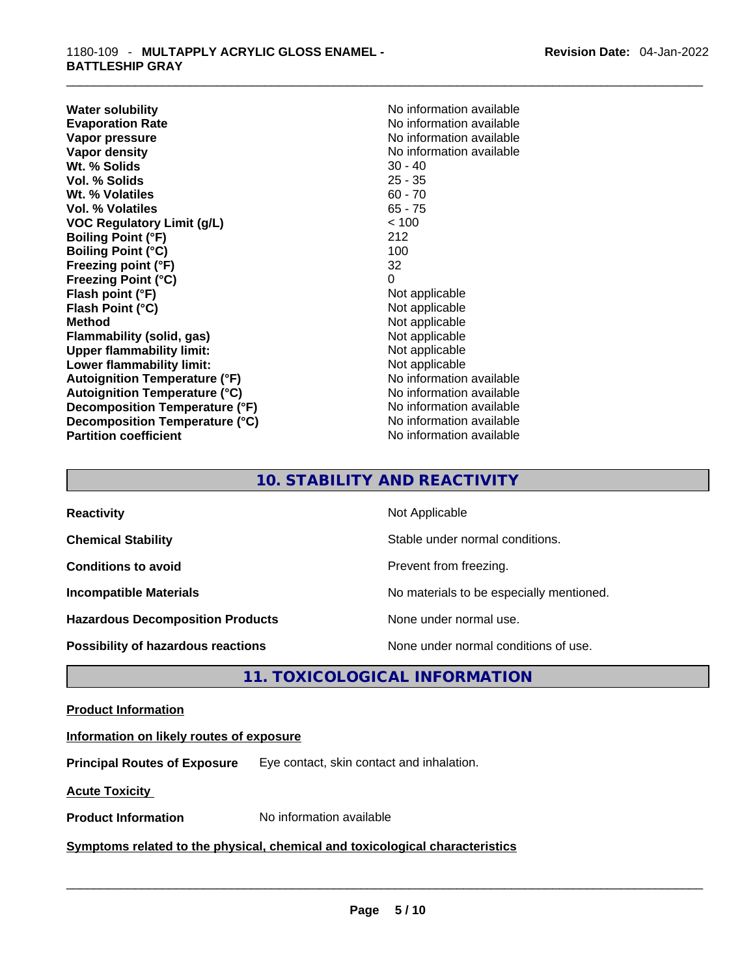**Water solubility Water solubility No information available Evaporation Rate Note 2008 No information available Note 2008 No information available Vapor pressure**  No information available **Vapor pressure No information available Vapor density No information available No information available Wt. % Solids** 30 - 40 **Vol. % Solids** 25 - 35 **Wt. % Volatiles Vol. % Volatiles** 65 - 75<br> **VOC Regulatory Limit (g/L)** 65 - 76 **VOC** Regulatory Limit (g/L) **Boiling Point (°F)** 212 **Boiling Point (°C)** 100<br> **Preezing point (°F)** 32 **Freezing point (°F) Freezing Point (°C)** 0 **Flash point (°F)** Not applicable **Flash Point (°C)** Not applicable **Method Not applicable Not applicable Flammability (solid, gas)** Not applicable **Upper flammability limit:** Not applicable **Lower flammability limit:**<br> **Autoianition Temperature (°F)** Not applicable Not applicable not a Not applicable **Autoignition Temperature (°F)**<br> **Autoignition Temperature (°C)** No information available **Autoignition Temperature (°C) Decomposition Temperature (°F)** No information available **Decomposition Temperature (°C)**<br> **Partition coefficient**<br> **Partition coefficient**<br> **No** information available

**No information available** 

#### **10. STABILITY AND REACTIVITY**

| <b>Reactivity</b>                         | Not Applicable                           |
|-------------------------------------------|------------------------------------------|
| <b>Chemical Stability</b>                 | Stable under normal conditions.          |
| <b>Conditions to avoid</b>                | Prevent from freezing.                   |
| <b>Incompatible Materials</b>             | No materials to be especially mentioned. |
| <b>Hazardous Decomposition Products</b>   | None under normal use.                   |
| <b>Possibility of hazardous reactions</b> | None under normal conditions of use.     |

#### **11. TOXICOLOGICAL INFORMATION**

#### **Product Information**

#### **Information on likely routes of exposure**

**Principal Routes of Exposure** Eye contact, skin contact and inhalation.

**Acute Toxicity** 

## **Product Information** No information available \_\_\_\_\_\_\_\_\_\_\_\_\_\_\_\_\_\_\_\_\_\_\_\_\_\_\_\_\_\_\_\_\_\_\_\_\_\_\_\_\_\_\_\_\_\_\_\_\_\_\_\_\_\_\_\_\_\_\_\_\_\_\_\_\_\_\_\_\_\_\_\_\_\_\_\_\_\_\_\_\_\_\_\_\_\_\_\_\_\_\_\_\_ **Symptoms related** to the physical, chemical and toxicological characteristics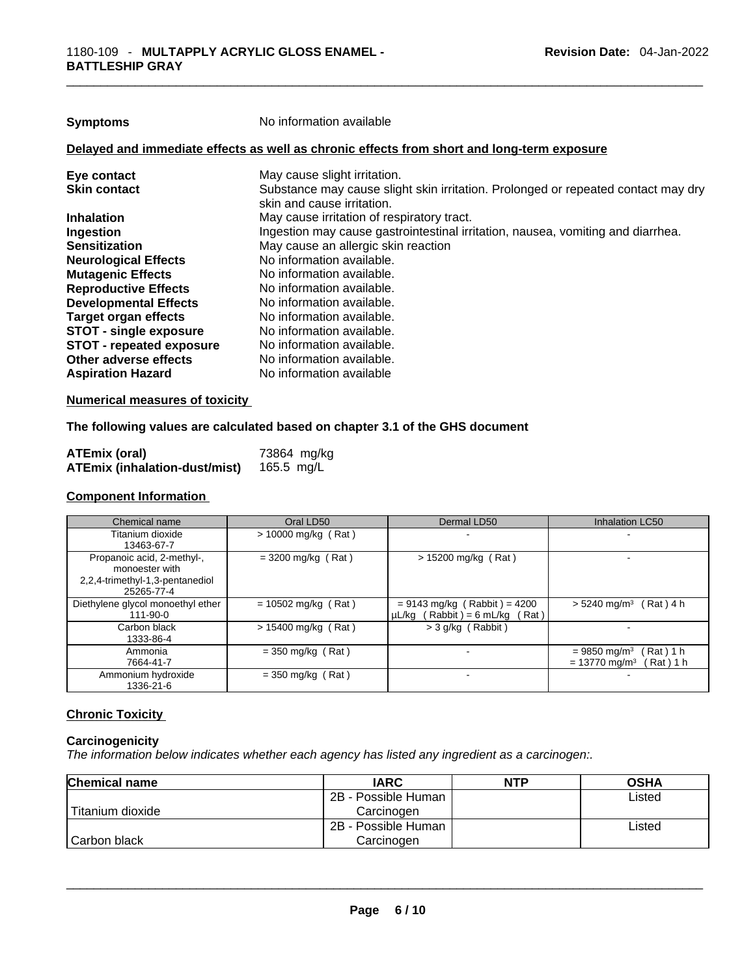| <b>Symptoms</b>                 | No information available                                                                                        |
|---------------------------------|-----------------------------------------------------------------------------------------------------------------|
|                                 | Delayed and immediate effects as well as chronic effects from short and long-term exposure                      |
| Eye contact                     | May cause slight irritation.                                                                                    |
| <b>Skin contact</b>             | Substance may cause slight skin irritation. Prolonged or repeated contact may dry<br>skin and cause irritation. |
| <b>Inhalation</b>               | May cause irritation of respiratory tract.                                                                      |
| <b>Ingestion</b>                | Ingestion may cause gastrointestinal irritation, nausea, vomiting and diarrhea.                                 |
| <b>Sensitization</b>            | May cause an allergic skin reaction                                                                             |
| <b>Neurological Effects</b>     | No information available.                                                                                       |
| <b>Mutagenic Effects</b>        | No information available.                                                                                       |
| <b>Reproductive Effects</b>     | No information available.                                                                                       |
| <b>Developmental Effects</b>    | No information available.                                                                                       |
| Target organ effects            | No information available.                                                                                       |
| <b>STOT - single exposure</b>   | No information available.                                                                                       |
| <b>STOT - repeated exposure</b> | No information available.                                                                                       |
| Other adverse effects           | No information available.                                                                                       |
| <b>Aspiration Hazard</b>        | No information available                                                                                        |
|                                 |                                                                                                                 |

#### **Numerical measures of toxicity**

#### **The following values are calculated based on chapter 3.1 of the GHS document**

| <b>ATEmix (oral)</b>                 | 73864 mg/kg |
|--------------------------------------|-------------|
| <b>ATEmix (inhalation-dust/mist)</b> | 165.5 mg/L  |

#### **Component Information**

| Chemical name                     | Oral LD50             | Dermal LD50                         | Inhalation LC50                          |
|-----------------------------------|-----------------------|-------------------------------------|------------------------------------------|
| Titanium dioxide                  | $> 10000$ mg/kg (Rat) |                                     | $\,$                                     |
| 13463-67-7                        |                       |                                     |                                          |
| Propanoic acid, 2-methyl-,        | $=$ 3200 mg/kg (Rat)  | $> 15200$ mg/kg (Rat)               |                                          |
| monoester with                    |                       |                                     |                                          |
| 2,2,4-trimethyl-1,3-pentanediol   |                       |                                     |                                          |
| 25265-77-4                        |                       |                                     |                                          |
| Diethylene glycol monoethyl ether | $= 10502$ mg/kg (Rat) | $= 9143$ mg/kg (Rabbit) = 4200      | $> 5240$ mg/m <sup>3</sup> (Rat) 4 h     |
| 111-90-0                          |                       | $\mu L/kg$ (Rabbit) = 6 mL/kg (Rat) |                                          |
| Carbon black                      | $> 15400$ mg/kg (Rat) | > 3 g/kg (Rabbit)                   |                                          |
| 1333-86-4                         |                       |                                     |                                          |
| Ammonia                           | $=$ 350 mg/kg (Rat)   |                                     | (Rat)1 h<br>$= 9850$ mg/m <sup>3</sup>   |
| 7664-41-7                         |                       |                                     | $= 13770$ mg/m <sup>3</sup><br>Rat ) 1 h |
| Ammonium hydroxide                | $=$ 350 mg/kg (Rat)   |                                     |                                          |
| 1336-21-6                         |                       |                                     |                                          |

#### **Chronic Toxicity**

#### **Carcinogenicity**

*The information below indicates whether each agency has listed any ingredient as a carcinogen:.* 

| Chemical name    | <b>IARC</b>         | <b>NTP</b> | <b>OSHA</b> |
|------------------|---------------------|------------|-------------|
|                  | 2B - Possible Human |            | Listed      |
| Titanium dioxide | Carcinogen          |            |             |
|                  | 2B - Possible Human |            | Listed      |
| Carbon black     | Carcinogen          |            |             |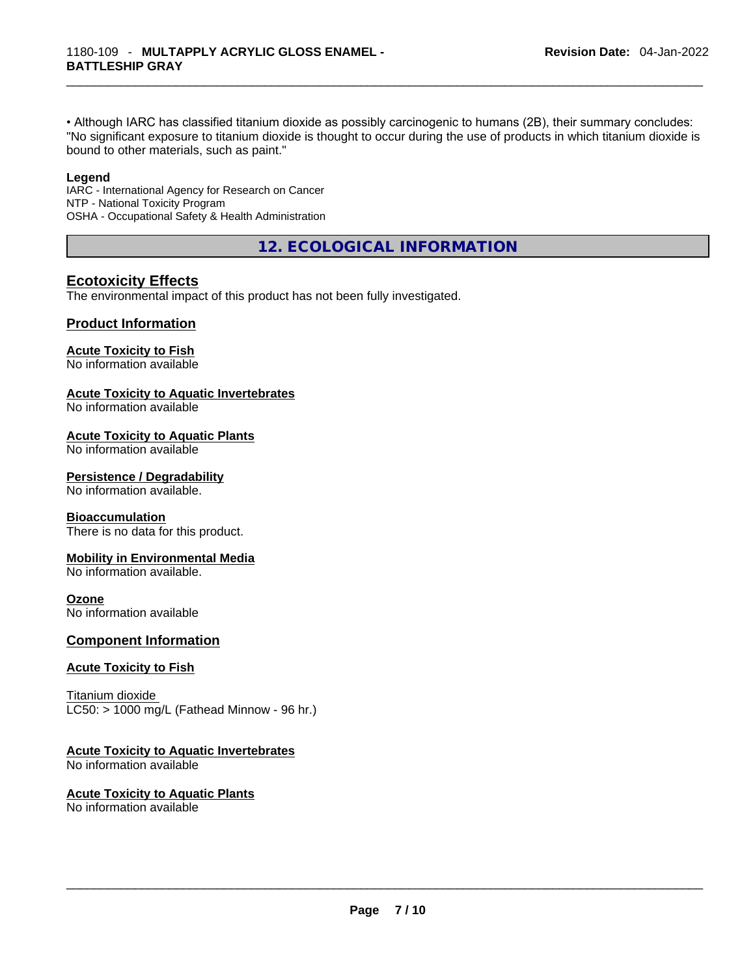• Although IARC has classified titanium dioxide as possibly carcinogenic to humans (2B), their summary concludes: "No significant exposure to titanium dioxide is thought to occur during the use of products in which titanium dioxide is bound to other materials, such as paint."

#### **Legend**

IARC - International Agency for Research on Cancer NTP - National Toxicity Program OSHA - Occupational Safety & Health Administration

**12. ECOLOGICAL INFORMATION** 

#### **Ecotoxicity Effects**

The environmental impact of this product has not been fully investigated.

#### **Product Information**

#### **Acute Toxicity to Fish**

No information available

#### **Acute Toxicity to Aquatic Invertebrates**

No information available

#### **Acute Toxicity to Aquatic Plants**

No information available

#### **Persistence / Degradability**

No information available.

#### **Bioaccumulation**

There is no data for this product.

#### **Mobility in Environmental Media**

No information available.

#### **Ozone**

No information available

#### **Component Information**

#### **Acute Toxicity to Fish**

Titanium dioxide  $LC50:$  > 1000 mg/L (Fathead Minnow - 96 hr.)

#### **Acute Toxicity to Aquatic Invertebrates**

No information available

#### **Acute Toxicity to Aquatic Plants**

No information available \_\_\_\_\_\_\_\_\_\_\_\_\_\_\_\_\_\_\_\_\_\_\_\_\_\_\_\_\_\_\_\_\_\_\_\_\_\_\_\_\_\_\_\_\_\_\_\_\_\_\_\_\_\_\_\_\_\_\_\_\_\_\_\_\_\_\_\_\_\_\_\_\_\_\_\_\_\_\_\_\_\_\_\_\_\_\_\_\_\_\_\_\_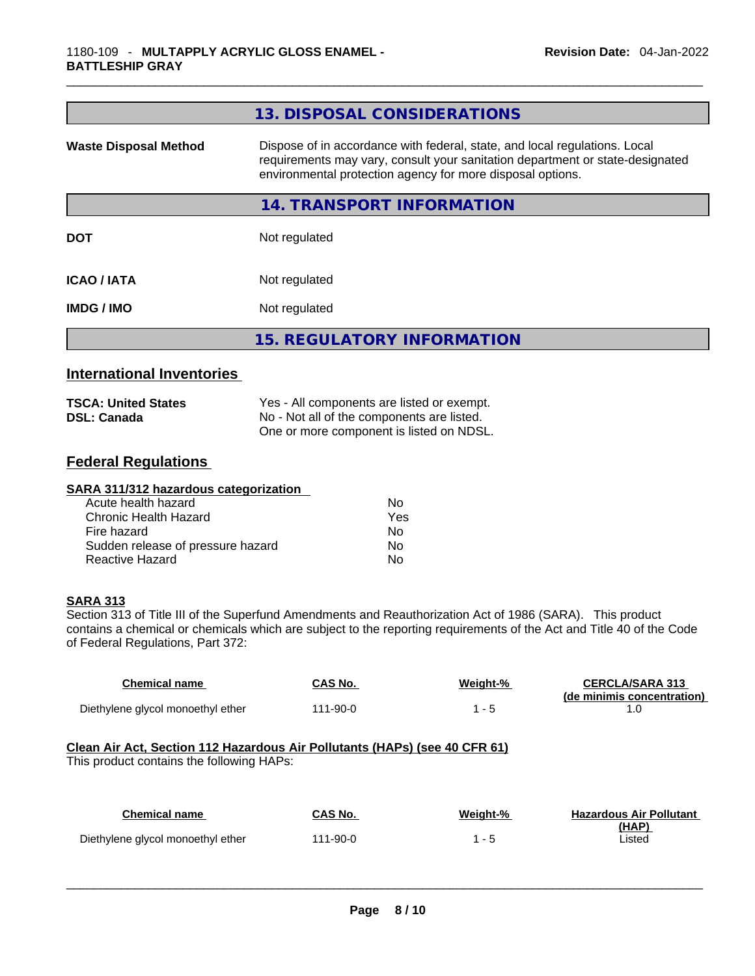|                              | 13. DISPOSAL CONSIDERATIONS                                                                                                                                                                                               |  |
|------------------------------|---------------------------------------------------------------------------------------------------------------------------------------------------------------------------------------------------------------------------|--|
| <b>Waste Disposal Method</b> | Dispose of in accordance with federal, state, and local regulations. Local<br>requirements may vary, consult your sanitation department or state-designated<br>environmental protection agency for more disposal options. |  |
|                              | 14. TRANSPORT INFORMATION                                                                                                                                                                                                 |  |
| <b>DOT</b>                   | Not regulated                                                                                                                                                                                                             |  |
| <b>ICAO/IATA</b>             | Not regulated                                                                                                                                                                                                             |  |
| <b>IMDG/IMO</b>              | Not regulated                                                                                                                                                                                                             |  |
|                              | <b>15. REGULATORY INFORMATION</b>                                                                                                                                                                                         |  |
|                              |                                                                                                                                                                                                                           |  |

#### **International Inventories**

| <b>TSCA: United States</b> | Yes - All components are listed or exempt. |
|----------------------------|--------------------------------------------|
| <b>DSL: Canada</b>         | No - Not all of the components are listed. |
|                            | One or more component is listed on NDSL.   |

#### **Federal Regulations**

| SARA 311/312 hazardous categorization |     |  |
|---------------------------------------|-----|--|
| Acute health hazard                   | No. |  |
| Chronic Health Hazard                 | Yes |  |
| Fire hazard                           | No  |  |
| Sudden release of pressure hazard     | No  |  |
| <b>Reactive Hazard</b>                | No  |  |

#### **SARA 313**

Section 313 of Title III of the Superfund Amendments and Reauthorization Act of 1986 (SARA). This product contains a chemical or chemicals which are subject to the reporting requirements of the Act and Title 40 of the Code of Federal Regulations, Part 372:

| <b>Chemical name</b>                                                                                                    | <b>CAS No.</b> | Weight-% | <b>CERCLA/SARA 313</b><br>(de minimis concentration) |  |  |  |
|-------------------------------------------------------------------------------------------------------------------------|----------------|----------|------------------------------------------------------|--|--|--|
| Diethylene glycol monoethyl ether                                                                                       | $111 - 90 - 0$ | $1 - 5$  | 1.0                                                  |  |  |  |
| Clean Air Act, Section 112 Hazardous Air Pollutants (HAPs) (see 40 CFR 61)<br>This product contains the following HAPs: |                |          |                                                      |  |  |  |
| <b>Chemical name</b>                                                                                                    | CAS No.        | Weight-% | <b>Hazardous Air Pollutant</b>                       |  |  |  |
| Diethylene glycol monoethyl ether                                                                                       | $111 - 90 - 0$ | $1 - 5$  | <u>(HAP)</u><br>Listed                               |  |  |  |
|                                                                                                                         |                |          |                                                      |  |  |  |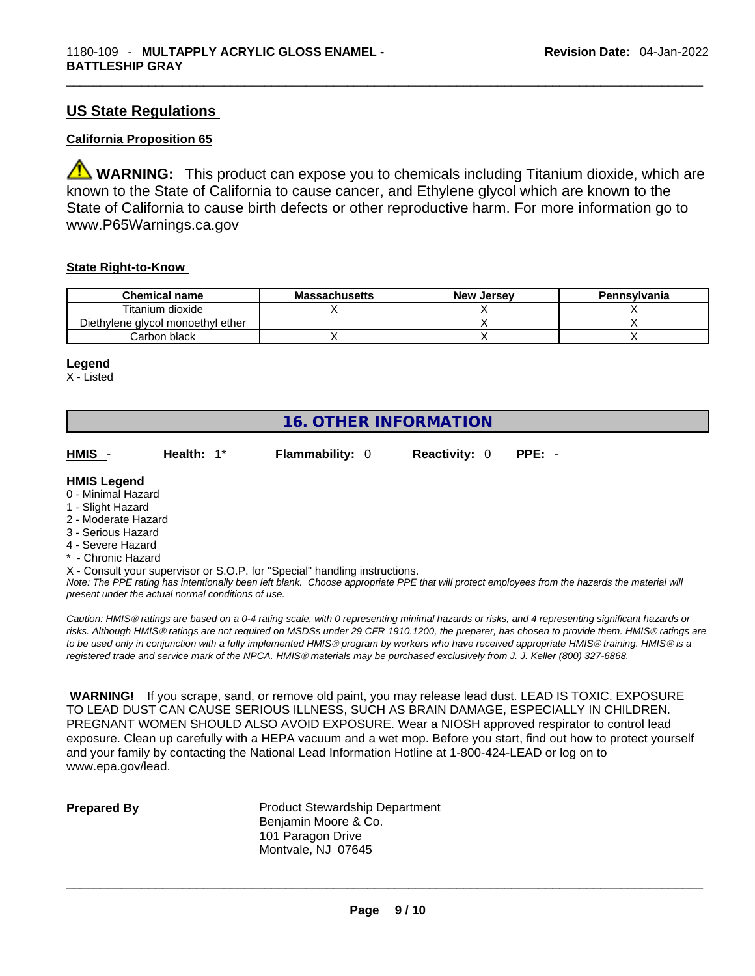#### **US State Regulations**

#### **California Proposition 65**

**XX WARNING:** This product can expose you to chemicals including Titanium dioxide, which are known to the State of California to cause cancer, and Ethylene glycol which are known to the State of California to cause birth defects or other reproductive harm. For more information go to www.P65Warnings.ca.gov

#### **State Right-to-Know**

| <b>Chemical name</b>              | <b>Massachusetts</b> | <b>New Jersey</b> | Pennsylvania |
|-----------------------------------|----------------------|-------------------|--------------|
| Titanium dioxide                  |                      |                   |              |
| Diethylene glycol monoethyl ether |                      |                   |              |
| Carbon black                      |                      |                   |              |

#### **Legend**

X - Listed

| <b>16. OTHER INFORMATION</b> |  |
|------------------------------|--|
|------------------------------|--|

| HMIS - | Health: 1* | <b>Flammability: 0</b> | <b>Reactivity: 0 PPE: -</b> |  |
|--------|------------|------------------------|-----------------------------|--|
|        |            |                        |                             |  |

#### **HMIS Legend**

- 0 Minimal Hazard
- 1 Slight Hazard
- 2 Moderate Hazard
- 3 Serious Hazard
- 4 Severe Hazard
- \* Chronic Hazard
- X Consult your supervisor or S.O.P. for "Special" handling instructions.

Note: The PPE rating has intentionally been left blank. Choose appropriate PPE that will protect employees from the hazards the material will *present under the actual normal conditions of use.* 

*Caution: HMISÒ ratings are based on a 0-4 rating scale, with 0 representing minimal hazards or risks, and 4 representing significant hazards or risks. Although HMISÒ ratings are not required on MSDSs under 29 CFR 1910.1200, the preparer, has chosen to provide them. HMISÒ ratings are to be used only in conjunction with a fully implemented HMISÒ program by workers who have received appropriate HMISÒ training. HMISÒ is a registered trade and service mark of the NPCA. HMISÒ materials may be purchased exclusively from J. J. Keller (800) 327-6868.* 

 **WARNING!** If you scrape, sand, or remove old paint, you may release lead dust. LEAD IS TOXIC. EXPOSURE TO LEAD DUST CAN CAUSE SERIOUS ILLNESS, SUCH AS BRAIN DAMAGE, ESPECIALLY IN CHILDREN. PREGNANT WOMEN SHOULD ALSO AVOID EXPOSURE. Wear a NIOSH approved respirator to control lead exposure. Clean up carefully with a HEPA vacuum and a wet mop. Before you start, find out how to protect yourself and your family by contacting the National Lead Information Hotline at 1-800-424-LEAD or log on to www.epa.gov/lead.

**Prepared By Product Stewardship Department** Benjamin Moore & Co. 101 Paragon Drive Montvale, NJ 07645